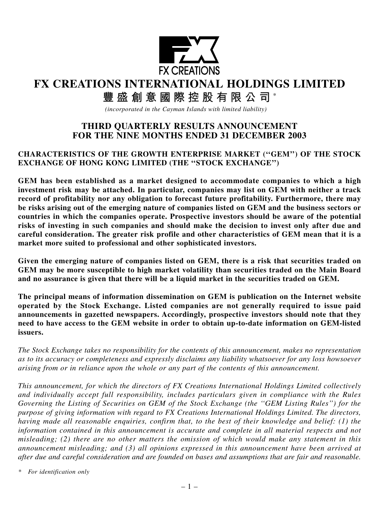

# **FX CREATIONS INTERNATIONAL HOLDINGS LIMITED**

# **豐盛創意國際控股有限公司** \*

*(incorporated in the Cayman Islands with limited liability)*

# **THIRD QUARTERLY RESULTS ANNOUNCEMENT FOR THE NINE MONTHS ENDED 31 DECEMBER 2003**

# **CHARACTERISTICS OF THE GROWTH ENTERPRISE MARKET (''GEM'') OF THE STOCK EXCHANGE OF HONG KONG LIMITED (THE ''STOCK EXCHANGE'')**

**GEM has been established as a market designed to accommodate companies to which a high investment risk may be attached. In particular, companies may list on GEM with neither a track record of profitability nor any obligation to forecast future profitability. Furthermore, there may be risks arising out of the emerging nature of companies listed on GEM and the business sectors or countries in which the companies operate. Prospective investors should be aware of the potential risks of investing in such companies and should make the decision to invest only after due and careful consideration. The greater risk profile and other characteristics of GEM mean that it is a market more suited to professional and other sophisticated investors.**

**Given the emerging nature of companies listed on GEM, there is a risk that securities traded on GEM may be more susceptible to high market volatility than securities traded on the Main Board and no assurance is given that there will be a liquid market in the securities traded on GEM.**

**The principal means of information dissemination on GEM is publication on the Internet website operated by the Stock Exchange. Listed companies are not generally required to issue paid announcements in gazetted newspapers. Accordingly, prospective investors should note that they need to have access to the GEM website in order to obtain up-to-date information on GEM-listed issuers.**

*The Stock Exchange takes no responsibility for the contents of this announcement, makes no representation as to its accuracy or completeness and expressly disclaims any liability whatsoever for any loss howsoever arising from or in reliance upon the whole or any part of the contents of this announcement.*

*This announcement, for which the directors of FX Creations International Holdings Limited collectively and individually accept full responsibility, includes particulars given in compliance with the Rules Governing the Listing of Securities on GEM of the Stock Exchange (the ''GEM Listing Rules'') for the purpose of giving information with regard to FX Creations International Holdings Limited. The directors, having made all reasonable enquiries, confirm that, to the best of their knowledge and belief: (1) the information contained in this announcement is accurate and complete in all material respects and not misleading; (2) there are no other matters the omission of which would make any statement in this announcement misleading; and (3) all opinions expressed in this announcement have been arrived at after due and careful consideration and are founded on bases and assumptions that are fair and reasonable.*

*\* For identification only*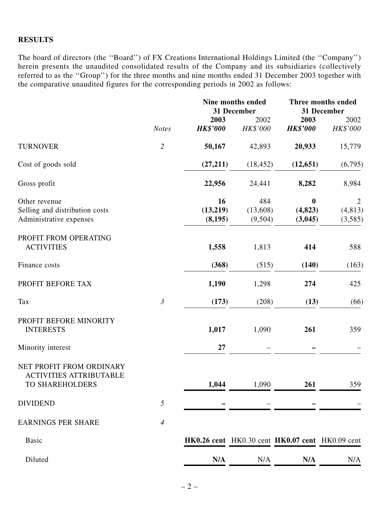## **RESULTS**

The board of directors (the ''Board'') of FX Creations International Holdings Limited (the ''Company'') herein presents the unaudited consolidated results of the Company and its subsidiaries (collectively referred to as the ''Group'') for the three months and nine months ended 31 December 2003 together with the comparative unaudited figures for the corresponding periods in 2002 as follows:

|                                                                               | <b>Notes</b>   | <b>Nine months ended</b><br>31 December |                            | Three months ended<br>31 December               |                                       |
|-------------------------------------------------------------------------------|----------------|-----------------------------------------|----------------------------|-------------------------------------------------|---------------------------------------|
|                                                                               |                | 2003                                    | 2002                       | 2003                                            | 2002                                  |
|                                                                               |                | <b>HK\$'000</b>                         | HK\$'000                   | <b>HK\$'000</b>                                 | HK\$'000                              |
| <b>TURNOVER</b>                                                               | $\overline{c}$ | 50,167                                  | 42,893                     | 20,933                                          | 15,779                                |
| Cost of goods sold                                                            |                | (27,211)                                | (18, 452)                  | (12, 651)                                       | (6,795)                               |
| Gross profit                                                                  |                | 22,956                                  | 24,441                     | 8,282                                           | 8,984                                 |
| Other revenue<br>Selling and distribution costs<br>Administrative expenses    |                | 16<br>(13,219)<br>(8,195)               | 484<br>(13,608)<br>(9,504) | $\boldsymbol{0}$<br>(4, 823)<br>(3,045)         | $\overline{2}$<br>(4, 813)<br>(3,585) |
| PROFIT FROM OPERATING<br><b>ACTIVITIES</b>                                    |                | 1,558                                   | 1,813                      | 414                                             | 588                                   |
| Finance costs                                                                 |                | (368)                                   | (515)                      | (140)                                           | (163)                                 |
| PROFIT BEFORE TAX                                                             |                | 1,190                                   | 1,298                      | 274                                             | 425                                   |
| <b>Tax</b>                                                                    | $\mathfrak{Z}$ | (173)                                   | (208)                      | (13)                                            | (66)                                  |
| PROFIT BEFORE MINORITY<br><b>INTERESTS</b>                                    |                | 1,017                                   | 1,090                      | 261                                             | 359                                   |
| Minority interest                                                             |                | 27                                      |                            |                                                 |                                       |
| NET PROFIT FROM ORDINARY<br><b>ACTIVITIES ATTRIBUTABLE</b><br>TO SHAREHOLDERS |                | 1,044                                   | 1,090                      | 261                                             | 359                                   |
| <b>DIVIDEND</b>                                                               | 5              |                                         |                            |                                                 |                                       |
| <b>EARNINGS PER SHARE</b>                                                     | $\overline{4}$ |                                         |                            |                                                 |                                       |
| <b>Basic</b>                                                                  |                |                                         |                            | HK0.26 cent HK0.30 cent HK0.07 cent HK0.09 cent |                                       |
| Diluted                                                                       |                | N/A                                     | N/A                        | N/A                                             | N/A                                   |
|                                                                               |                |                                         |                            |                                                 |                                       |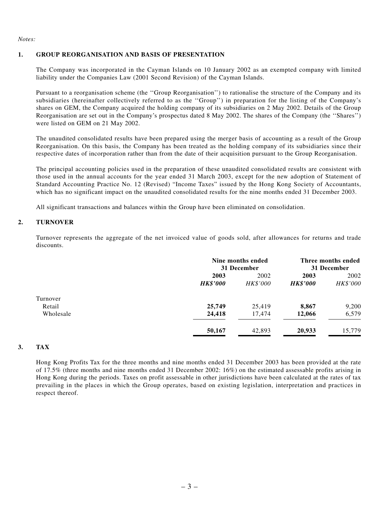*Notes:*

#### **1. GROUP REORGANISATION AND BASIS OF PRESENTATION**

The Company was incorporated in the Cayman Islands on 10 January 2002 as an exempted company with limited liability under the Companies Law (2001 Second Revision) of the Cayman Islands.

Pursuant to a reorganisation scheme (the ''Group Reorganisation'') to rationalise the structure of the Company and its subsidiaries (hereinafter collectively referred to as the ''Group'') in preparation for the listing of the Company's shares on GEM, the Company acquired the holding company of its subsidiaries on 2 May 2002. Details of the Group Reorganisation are set out in the Company's prospectus dated 8 May 2002. The shares of the Company (the ''Shares'') were listed on GEM on 21 May 2002.

The unaudited consolidated results have been prepared using the merger basis of accounting as a result of the Group Reorganisation. On this basis, the Company has been treated as the holding company of its subsidiaries since their respective dates of incorporation rather than from the date of their acquisition pursuant to the Group Reorganisation.

The principal accounting policies used in the preparation of these unaudited consolidated results are consistent with those used in the annual accounts for the year ended 31 March 2003, except for the new adoption of Statement of Standard Accounting Practice No. 12 (Revised) "Income Taxes" issued by the Hong Kong Society of Accountants, which has no significant impact on the unaudited consolidated results for the nine months ended 31 December 2003.

All significant transactions and balances within the Group have been eliminated on consolidation.

#### **2. TURNOVER**

Turnover represents the aggregate of the net invoiced value of goods sold, after allowances for returns and trade discounts.

|           |                 | Nine months ended<br>31 December |                 | Three months ended<br>31 December |  |
|-----------|-----------------|----------------------------------|-----------------|-----------------------------------|--|
|           | 2003            | 2002                             | 2003            | 2002                              |  |
|           | <b>HK\$'000</b> | HK\$'000                         | <b>HK\$'000</b> | HK\$'000                          |  |
| Turnover  |                 |                                  |                 |                                   |  |
| Retail    | 25,749          | 25,419                           | 8,867           | 9,200                             |  |
| Wholesale | 24,418          | 17,474                           | 12,066          | 6,579                             |  |
|           | 50,167          | 42,893                           | 20,933          | 15,779                            |  |

#### **3. TAX**

Hong Kong Profits Tax for the three months and nine months ended 31 December 2003 has been provided at the rate of 17.5% (three months and nine months ended 31 December 2002: 16%) on the estimated assessable profits arising in Hong Kong during the periods. Taxes on profit assessable in other jurisdictions have been calculated at the rates of tax prevailing in the places in which the Group operates, based on existing legislation, interpretation and practices in respect thereof.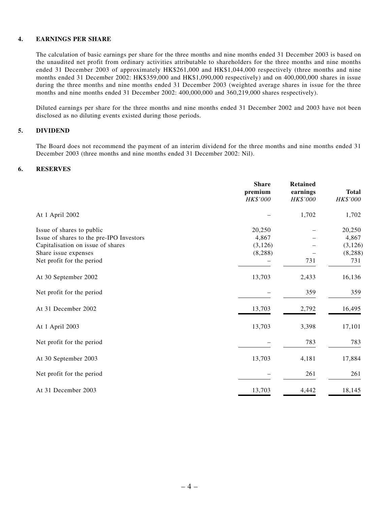#### **4. EARNINGS PER SHARE**

The calculation of basic earnings per share for the three months and nine months ended 31 December 2003 is based on the unaudited net profit from ordinary activities attributable to shareholders for the three months and nine months ended 31 December 2003 of approximately HK\$261,000 and HK\$1,044,000 respectively (three months and nine months ended 31 December 2002: HK\$359,000 and HK\$1,090,000 respectively) and on 400,000,000 shares in issue during the three months and nine months ended 31 December 2003 (weighted average shares in issue for the three months and nine months ended 31 December 2002: 400,000,000 and 360,219,000 shares respectively).

Diluted earnings per share for the three months and nine months ended 31 December 2002 and 2003 have not been disclosed as no diluting events existed during those periods.

#### **5. DIVIDEND**

The Board does not recommend the payment of an interim dividend for the three months and nine months ended 31 December 2003 (three months and nine months ended 31 December 2002: Nil).

#### **6. RESERVES**

|                                          | <b>Share</b><br>premium<br>HK\$'000 | <b>Retained</b><br>earnings<br>HK\$'000 | <b>Total</b><br>HK\$'000 |
|------------------------------------------|-------------------------------------|-----------------------------------------|--------------------------|
| At 1 April 2002                          |                                     | 1,702                                   | 1,702                    |
| Issue of shares to public                | 20,250                              |                                         | 20,250                   |
| Issue of shares to the pre-IPO Investors | 4,867                               |                                         | 4,867                    |
| Capitalisation on issue of shares        | (3, 126)                            |                                         | (3, 126)                 |
| Share issue expenses                     | (8, 288)                            |                                         | (8, 288)                 |
| Net profit for the period                |                                     | 731                                     | 731                      |
| At 30 September 2002                     | 13,703                              | 2,433                                   | 16,136                   |
| Net profit for the period                |                                     | 359                                     | 359                      |
| At 31 December 2002                      | 13,703                              | 2,792                                   | 16,495                   |
| At 1 April 2003                          | 13,703                              | 3,398                                   | 17,101                   |
| Net profit for the period                |                                     | 783                                     | 783                      |
| At 30 September 2003                     | 13,703                              | 4,181                                   | 17,884                   |
| Net profit for the period                |                                     | 261                                     | 261                      |
| At 31 December 2003                      | 13,703                              | 4,442                                   | 18,145                   |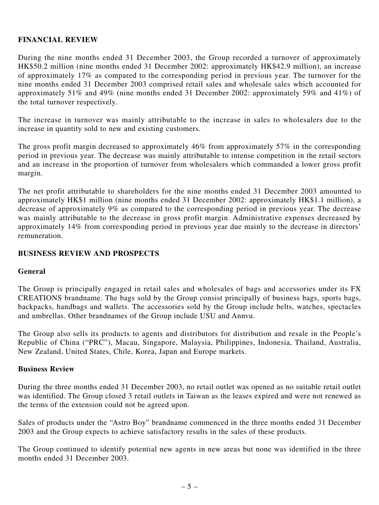# **FINANCIAL REVIEW**

During the nine months ended 31 December 2003, the Group recorded a turnover of approximately HK\$50.2 million (nine months ended 31 December 2002: approximately HK\$42.9 million), an increase of approximately 17% as compared to the corresponding period in previous year. The turnover for the nine months ended 31 December 2003 comprised retail sales and wholesale sales which accounted for approximately 51% and 49% (nine months ended 31 December 2002: approximately 59% and 41%) of the total turnover respectively.

The increase in turnover was mainly attributable to the increase in sales to wholesalers due to the increase in quantity sold to new and existing customers.

The gross profit margin decreased to approximately 46% from approximately 57% in the corresponding period in previous year. The decrease was mainly attributable to intense competition in the retail sectors and an increase in the proportion of turnover from wholesalers which commanded a lower gross profit margin.

The net profit attributable to shareholders for the nine months ended 31 December 2003 amounted to approximately HK\$1 million (nine months ended 31 December 2002: approximately HK\$1.1 million), a decrease of approximately 9% as compared to the corresponding period in previous year. The decrease was mainly attributable to the decrease in gross profit margin. Administrative expenses decreased by approximately 14% from corresponding period in previous year due mainly to the decrease in directors' remuneration.

# **BUSINESS REVIEW AND PROSPECTS**

### **General**

The Group is principally engaged in retail sales and wholesales of bags and accessories under its FX CREATIONS brandname. The bags sold by the Group consist principally of business bags, sports bags, backpacks, handbags and wallets. The accessories sold by the Group include belts, watches, spectacles and umbrellas. Other brandnames of the Group include USU and Annvu.

The Group also sells its products to agents and distributors for distribution and resale in the People's Republic of China ("PRC"), Macau, Singapore, Malaysia, Philippines, Indonesia, Thailand, Australia, New Zealand, United States, Chile, Korea, Japan and Europe markets.

### **Business Review**

During the three months ended 31 December 2003, no retail outlet was opened as no suitable retail outlet was identified. The Group closed 3 retail outlets in Taiwan as the leases expired and were not renewed as the terms of the extension could not be agreed upon.

Sales of products under the "Astro Boy" brandname commenced in the three months ended 31 December 2003 and the Group expects to achieve satisfactory results in the sales of these products.

The Group continued to identify potential new agents in new areas but none was identified in the three months ended 31 December 2003.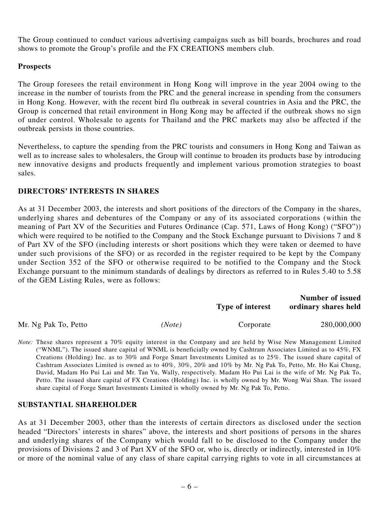The Group continued to conduct various advertising campaigns such as bill boards, brochures and road shows to promote the Group's profile and the FX CREATIONS members club.

# **Prospects**

The Group foresees the retail environment in Hong Kong will improve in the year 2004 owing to the increase in the number of tourists from the PRC and the general increase in spending from the consumers in Hong Kong. However, with the recent bird flu outbreak in several countries in Asia and the PRC, the Group is concerned that retail environment in Hong Kong may be affected if the outbreak shows no sign of under control. Wholesale to agents for Thailand and the PRC markets may also be affected if the outbreak persists in those countries.

Nevertheless, to capture the spending from the PRC tourists and consumers in Hong Kong and Taiwan as well as to increase sales to wholesalers, the Group will continue to broaden its products base by introducing new innovative designs and products frequently and implement various promotion strategies to boast sales.

# **DIRECTORS' INTERESTS IN SHARES**

As at 31 December 2003, the interests and short positions of the directors of the Company in the shares, underlying shares and debentures of the Company or any of its associated corporations (within the meaning of Part XV of the Securities and Futures Ordinance (Cap. 571, Laws of Hong Kong) ("SFO")) which were required to be notified to the Company and the Stock Exchange pursuant to Divisions 7 and 8 of Part XV of the SFO (including interests or short positions which they were taken or deemed to have under such provisions of the SFO) or as recorded in the register required to be kept by the Company under Section 352 of the SFO or otherwise required to be notified to the Company and the Stock Exchange pursuant to the minimum standards of dealings by directors as referred to in Rules 5.40 to 5.58 of the GEM Listing Rules, were as follows:

|                      |        | <b>Type of interest</b> | Number of issued<br>ordinary shares held |  |
|----------------------|--------|-------------------------|------------------------------------------|--|
| Mr. Ng Pak To, Petto | (Note) | Corporate               | 280,000,000                              |  |

*Note:* These shares represent a 70% equity interest in the Company and are held by Wise New Management Limited ("WNML"). The issued share capital of WNML is beneficially owned by Cashtram Associates Limited as to 45%, FX Creations (Holding) Inc. as to 30% and Forge Smart Investments Limited as to 25%. The issued share capital of Cashtram Associates Limited is owned as to 40%, 30%, 20% and 10% by Mr. Ng Pak To, Petto, Mr. Ho Kai Chung, David, Madam Ho Pui Lai and Mr. Tan Yu, Wally, respectively. Madam Ho Pui Lai is the wife of Mr. Ng Pak To, Petto. The issued share capital of FX Creations (Holding) Inc. is wholly owned by Mr. Wong Wai Shan. The issued share capital of Forge Smart Investments Limited is wholly owned by Mr. Ng Pak To, Petto.

### **SUBSTANTIAL SHAREHOLDER**

As at 31 December 2003, other than the interests of certain directors as disclosed under the section headed "Directors' interests in shares" above, the interests and short positions of persons in the shares and underlying shares of the Company which would fall to be disclosed to the Company under the provisions of Divisions 2 and 3 of Part XV of the SFO or, who is, directly or indirectly, interested in 10% or more of the nominal value of any class of share capital carrying rights to vote in all circumstances at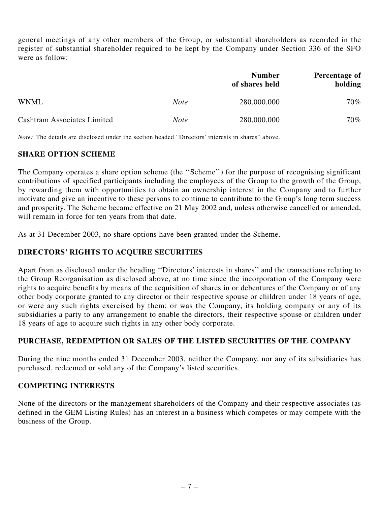general meetings of any other members of the Group, or substantial shareholders as recorded in the register of substantial shareholder required to be kept by the Company under Section 336 of the SFO were as follow:

|                             |             | <b>Number</b><br>of shares held | Percentage of<br>holding |
|-----------------------------|-------------|---------------------------------|--------------------------|
| <b>WNML</b>                 | <i>Note</i> | 280,000,000                     | 70%                      |
| Cashtram Associates Limited | <b>Note</b> | 280,000,000                     | 70%                      |

*Note:* The details are disclosed under the section headed "Directors' interests in shares" above.

# **SHARE OPTION SCHEME**

The Company operates a share option scheme (the ''Scheme'') for the purpose of recognising significant contributions of specified participants including the employees of the Group to the growth of the Group, by rewarding them with opportunities to obtain an ownership interest in the Company and to further motivate and give an incentive to these persons to continue to contribute to the Group's long term success and prosperity. The Scheme became effective on 21 May 2002 and, unless otherwise cancelled or amended, will remain in force for ten years from that date.

As at 31 December 2003, no share options have been granted under the Scheme.

# **DIRECTORS' RIGHTS TO ACQUIRE SECURITIES**

Apart from as disclosed under the heading ''Directors' interests in shares'' and the transactions relating to the Group Reorganisation as disclosed above, at no time since the incorporation of the Company were rights to acquire benefits by means of the acquisition of shares in or debentures of the Company or of any other body corporate granted to any director or their respective spouse or children under 18 years of age, or were any such rights exercised by them; or was the Company, its holding company or any of its subsidiaries a party to any arrangement to enable the directors, their respective spouse or children under 18 years of age to acquire such rights in any other body corporate.

# **PURCHASE, REDEMPTION OR SALES OF THE LISTED SECURITIES OF THE COMPANY**

During the nine months ended 31 December 2003, neither the Company, nor any of its subsidiaries has purchased, redeemed or sold any of the Company's listed securities.

### **COMPETING INTERESTS**

None of the directors or the management shareholders of the Company and their respective associates (as defined in the GEM Listing Rules) has an interest in a business which competes or may compete with the business of the Group.